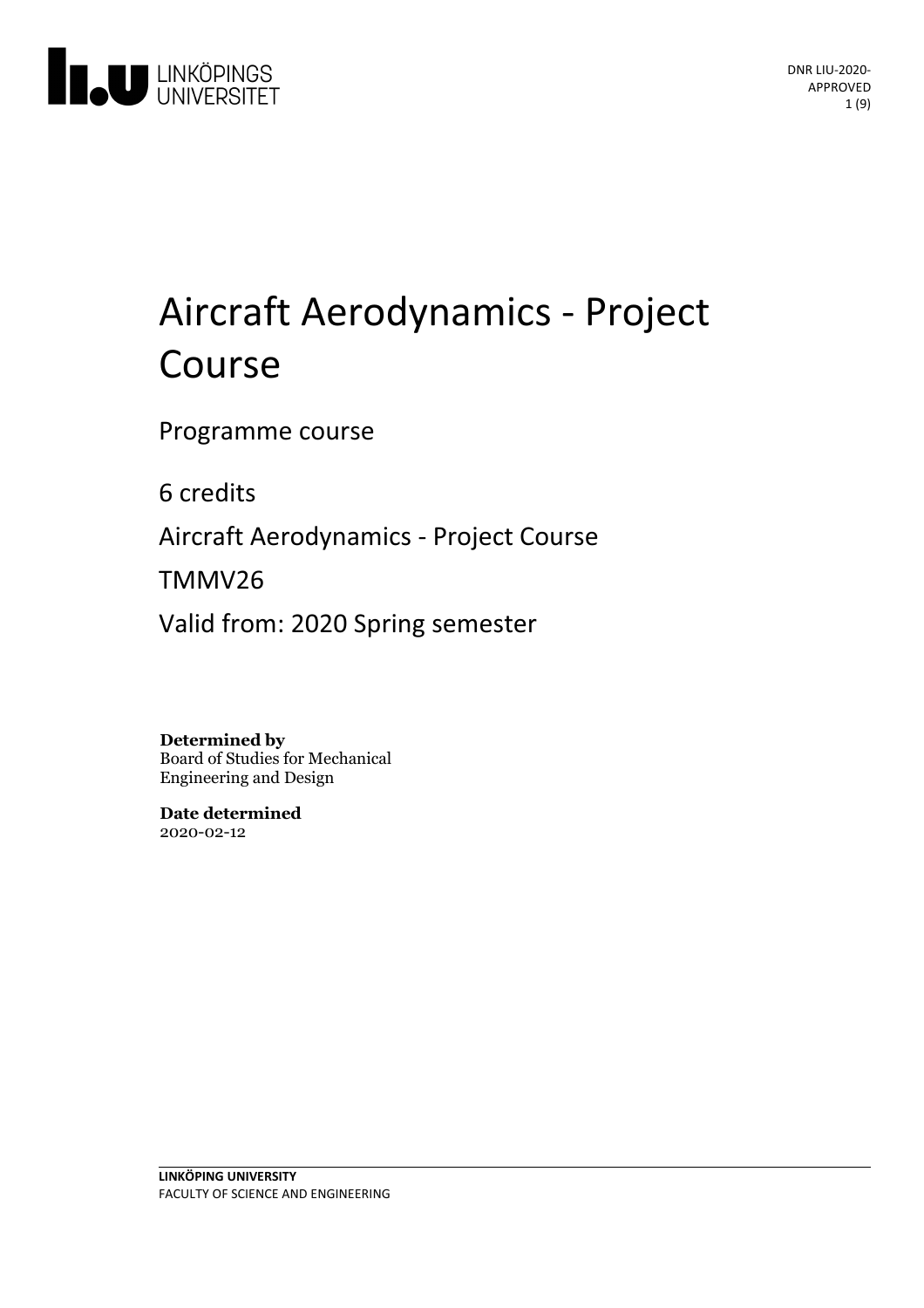

# Aircraft Aerodynamics - Project Course

Programme course

6 credits

Aircraft Aerodynamics - Project Course

TMMV26

Valid from: 2020 Spring semester

**Determined by** Board of Studies for Mechanical Engineering and Design

**Date determined** 2020-02-12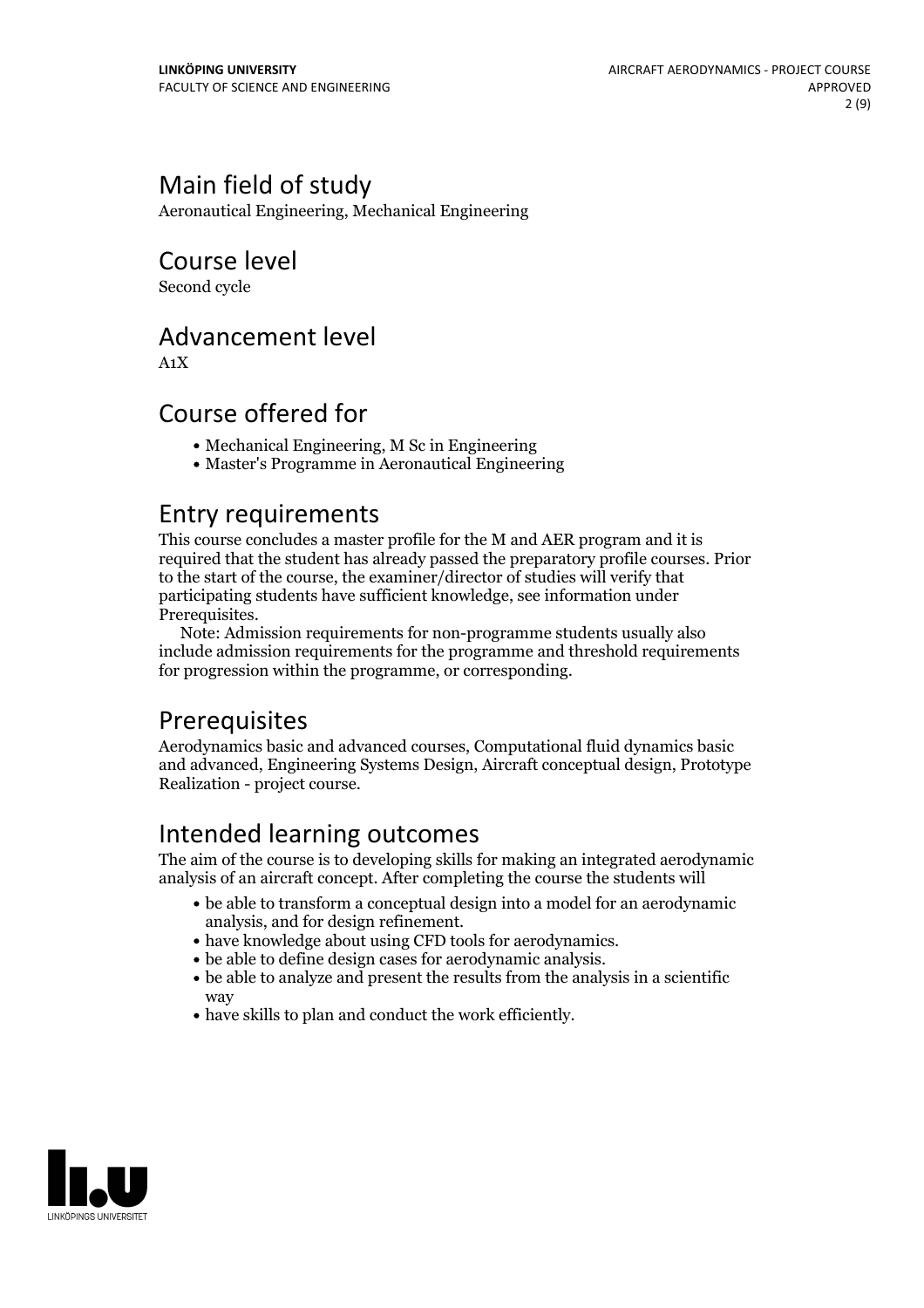# Main field of study

Aeronautical Engineering, Mechanical Engineering

Course level

Second cycle

### Advancement level

A1X

## Course offered for

- Mechanical Engineering, M Sc in Engineering
- Master's Programme in Aeronautical Engineering

### Entry requirements

This course concludes a master profile for the M and AER program and it is required that the student has already passed the preparatory profile courses. Prior to the start of the course, the examiner/director of studies will verify that participating students have sufficient knowledge, see information under

Prerequisites.<br> Note: Admission requirements for non-programme students usually also include admission requirements for the programme and threshold requirements for progression within the programme, or corresponding.

# **Prerequisites**

Aerodynamics basic and advanced courses, Computational fluid dynamics basic and advanced, Engineering Systems Design, Aircraft conceptual design, Prototype Realization - project course.

## Intended learning outcomes

The aim of the course is to developing skills for making an integrated aerodynamic analysis of an aircraft concept. After completing the course the students will

- be able to transform a conceptual design into a model for an aerodynamic analysis, and for design refinement.<br>• have knowledge about using CFD tools for aerodynamics.<br>• be able to define design cases for aerodynamic analysis.<br>• be able to analyze and present the results from the analysis in a s
- 
- 
- way
- have skills to plan and conduct the work efficiently.

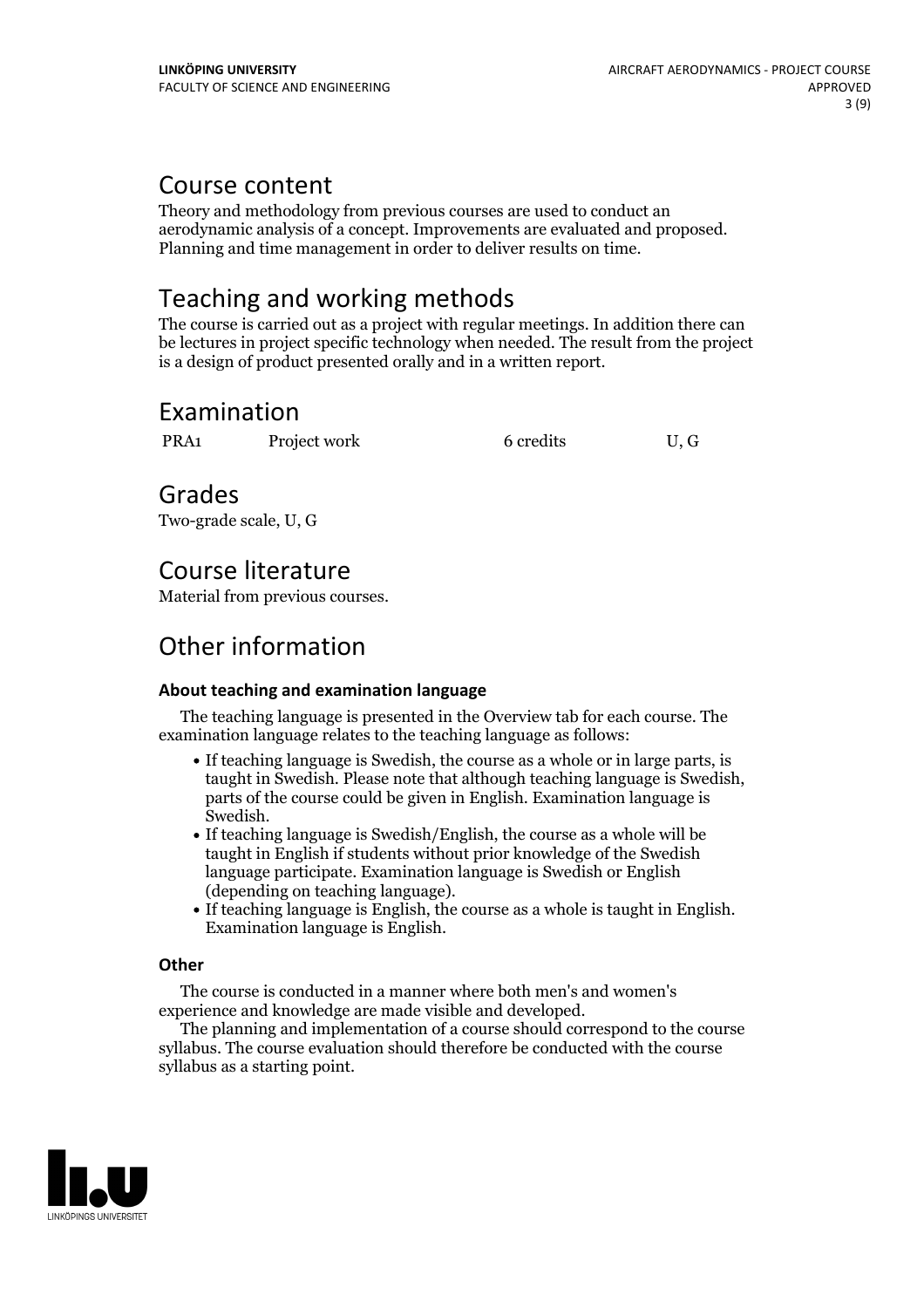### Course content

Theory and methodology from previous courses are used to conduct an aerodynamic analysis of <sup>a</sup> concept. Improvements are evaluated and proposed. Planning and time management in order to deliver results on time.

# Teaching and working methods

The course is carried out as a project with regular meetings. In addition there can be lectures in project specific technology when needed. The result from the project is a design of product presented orally and in a written report.

### Examination

PRA1 Project work 6 credits U, G

Grades

Two-grade scale, U, G

# Course literature

Material from previous courses.

# Other information

### **About teaching and examination language**

The teaching language is presented in the Overview tab for each course. The examination language relates to the teaching language as follows:

- If teaching language is Swedish, the course as a whole or in large parts, is taught in Swedish. Please note that although teaching language is Swedish, parts of the course could be given in English. Examination language is
- Swedish.<br>• If teaching language is Swedish/English, the course as a whole will be taught in English if students without prior knowledge of the Swedish language participate. Examination language is Swedish or English
- $\bullet$  If teaching language is English, the course as a whole is taught in English. Examination language is English.

#### **Other**

The course is conducted in a manner where both men's and women's

The planning and implementation of a course should correspond to the course syllabus. The course evaluation should therefore be conducted with the course syllabus as a starting point.

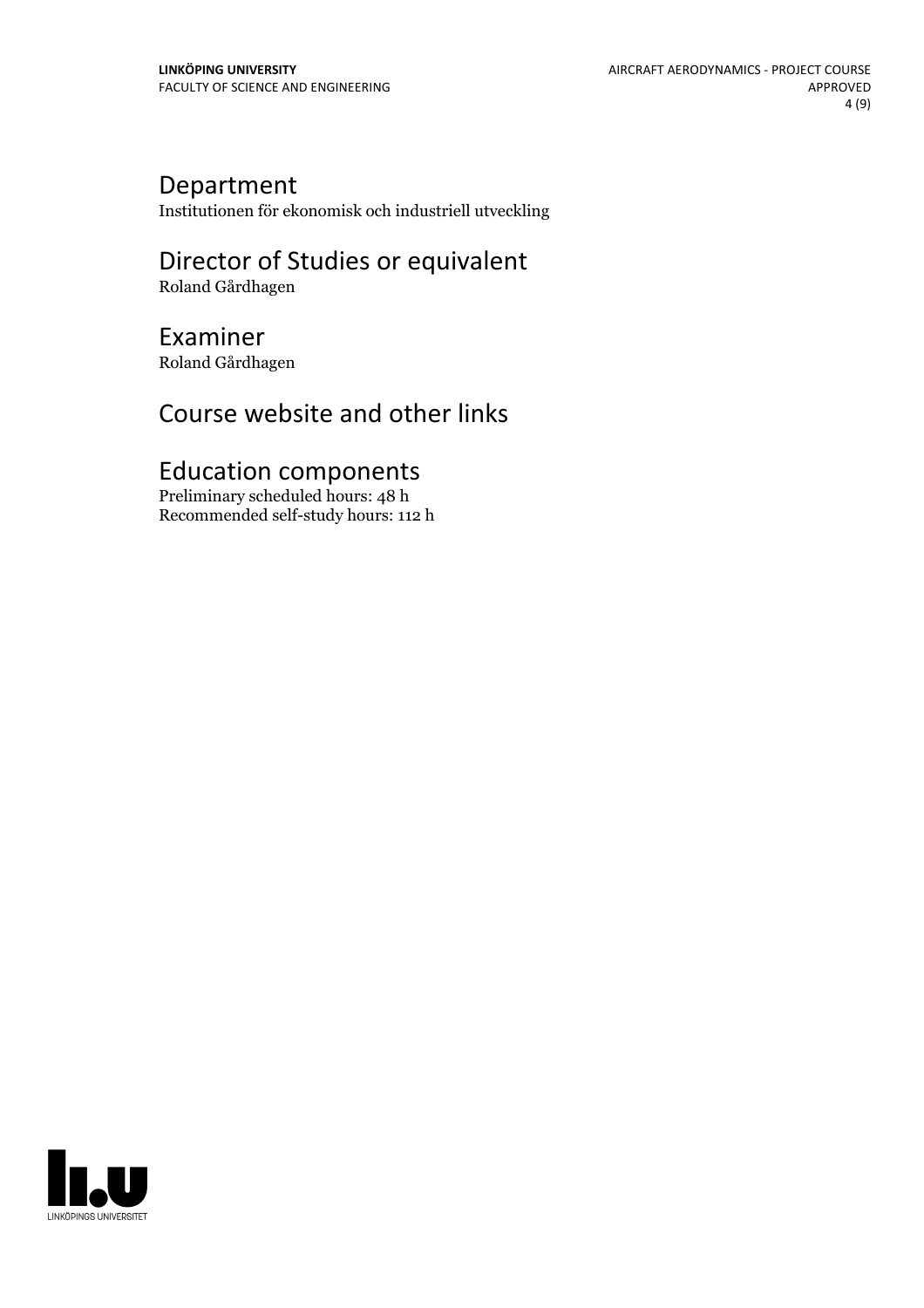### Department

Institutionen för ekonomisk och industriell utveckling

### Director of Studies or equivalent Roland Gårdhagen

# Examiner

Roland Gårdhagen

# Course website and other links

# Education components

Preliminary scheduled hours: 48 h Recommended self-study hours: 112 h

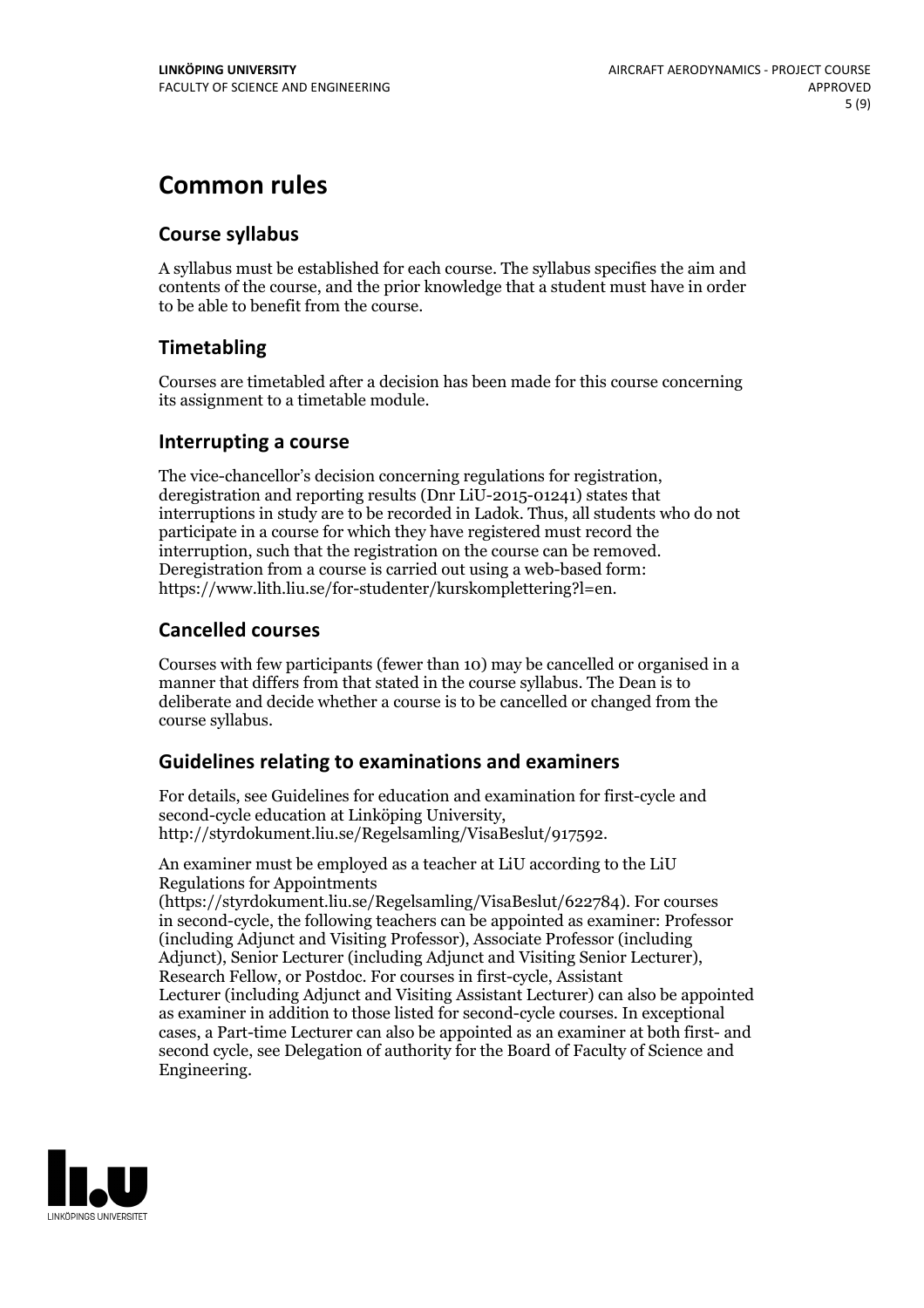# **Common rules**

#### **Course syllabus**

A syllabus must be established for each course. The syllabus specifies the aim and contents of the course, and the prior knowledge that a student must have in order to be able to benefit from the course.

### **Timetabling**

Courses are timetabled after a decision has been made for this course concerning its assignment to a timetable module.

#### **Interrupting a course**

The vice-chancellor's decision concerning regulations for registration, deregistration and reporting results (Dnr LiU-2015-01241) states that interruptions in study are to be recorded in Ladok. Thus, all students who do not participate in a course for which they have registered must record the interruption, such that the registration on the course can be removed. Deregistration from <sup>a</sup> course is carried outusing <sup>a</sup> web-based form: https://www.lith.liu.se/for-studenter/kurskomplettering?l=en.

### **Cancelled courses**

Courses with few participants (fewer than 10) may be cancelled or organised in a manner that differs from that stated in the course syllabus. The Dean is to deliberate and decide whether a course is to be cancelled or changed from the course syllabus.

### **Guidelines relatingto examinations and examiners**

For details, see Guidelines for education and examination for first-cycle and second-cycle education at Linköping University, http://styrdokument.liu.se/Regelsamling/VisaBeslut/917592.

An examiner must be employed as a teacher at LiU according to the LiU Regulations for Appointments

(https://styrdokument.liu.se/Regelsamling/VisaBeslut/622784). For courses in second-cycle, the following teachers can be appointed as examiner: Professor (including Adjunct and Visiting Professor), Associate Professor (including Adjunct), Senior Lecturer (including Adjunct and Visiting Senior Lecturer), Research Fellow, or Postdoc. For courses in first-cycle, Assistant Lecturer (including Adjunct and Visiting Assistant Lecturer) can also be appointed as examiner in addition to those listed for second-cycle courses. In exceptional cases, a Part-time Lecturer can also be appointed as an examiner at both first- and second cycle, see Delegation of authority for the Board of Faculty of Science and Engineering.

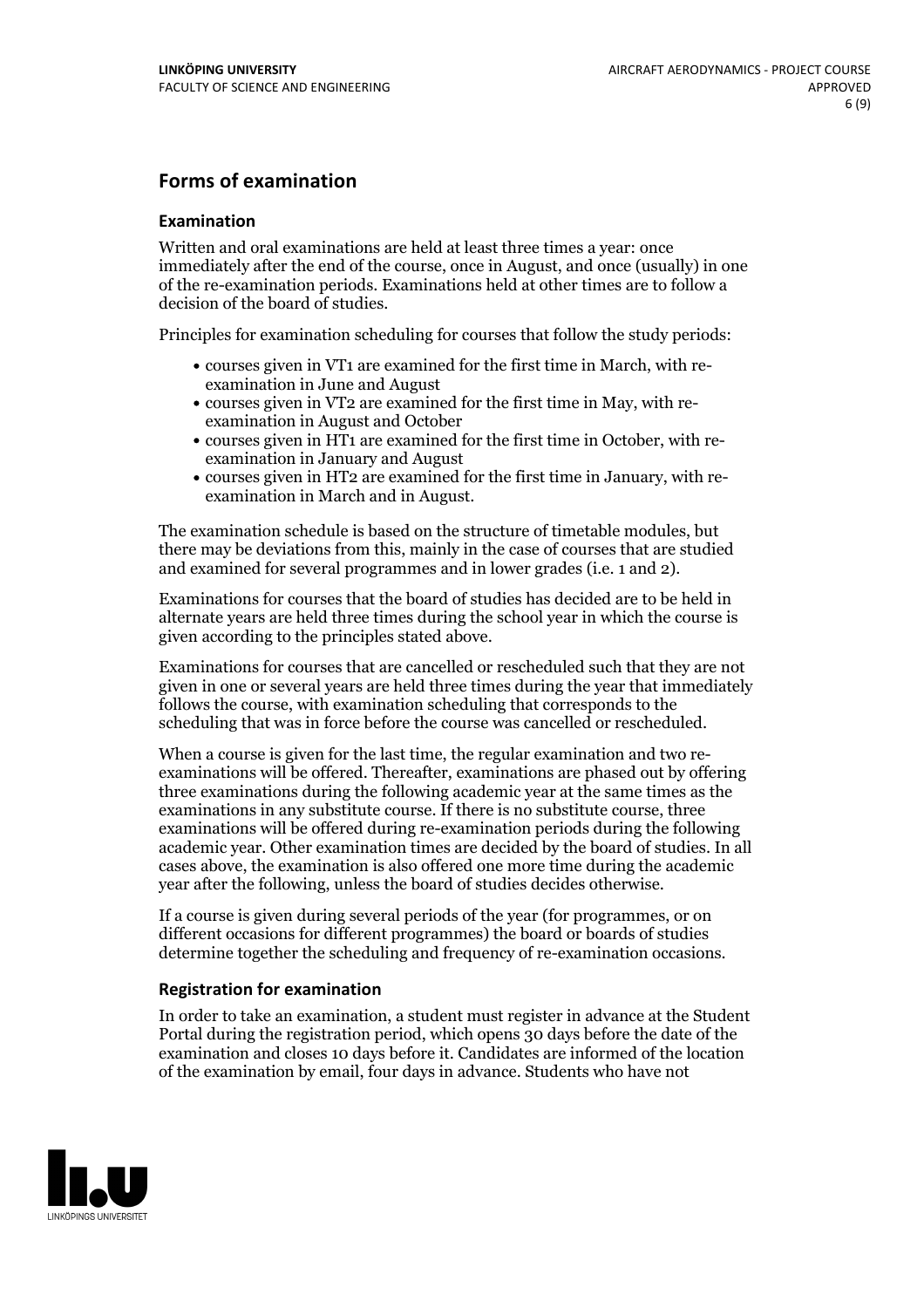#### **Forms of examination**

#### **Examination**

Written and oral examinations are held at least three times a year: once immediately after the end of the course, once in August, and once (usually) in one of the re-examination periods. Examinations held at other times are to follow a decision of the board of studies.

Principles for examination scheduling for courses that follow the study periods:

- courses given in VT1 are examined for the first time in March, with re-examination in June and August
- courses given in VT2 are examined for the first time in May, with re-examination in August and October
- courses given in HT1 are examined for the first time in October, with re-examination in January and August
- courses given in HT2 are examined for the first time in January, with re-examination in March and in August.

The examination schedule is based on the structure of timetable modules, but there may be deviations from this, mainly in the case of courses that are studied and examined for several programmes and in lower grades (i.e. 1 and 2).

Examinations for courses that the board of studies has decided are to be held in alternate years are held three times during the school year in which the course is given according to the principles stated above.

Examinations for courses that are cancelled orrescheduled such that they are not given in one or several years are held three times during the year that immediately follows the course, with examination scheduling that corresponds to the scheduling that was in force before the course was cancelled or rescheduled.

When a course is given for the last time, the regular examination and two re-<br>examinations will be offered. Thereafter, examinations are phased out by offering three examinations during the following academic year at the same times as the examinations in any substitute course. If there is no substitute course, three examinations will be offered during re-examination periods during the following academic year. Other examination times are decided by the board of studies. In all cases above, the examination is also offered one more time during the academic year after the following, unless the board of studies decides otherwise.

If a course is given during several periods of the year (for programmes, or on different occasions for different programmes) the board or boards of studies determine together the scheduling and frequency of re-examination occasions.

#### **Registration for examination**

In order to take an examination, a student must register in advance at the Student Portal during the registration period, which opens 30 days before the date of the examination and closes 10 days before it. Candidates are informed of the location of the examination by email, four days in advance. Students who have not

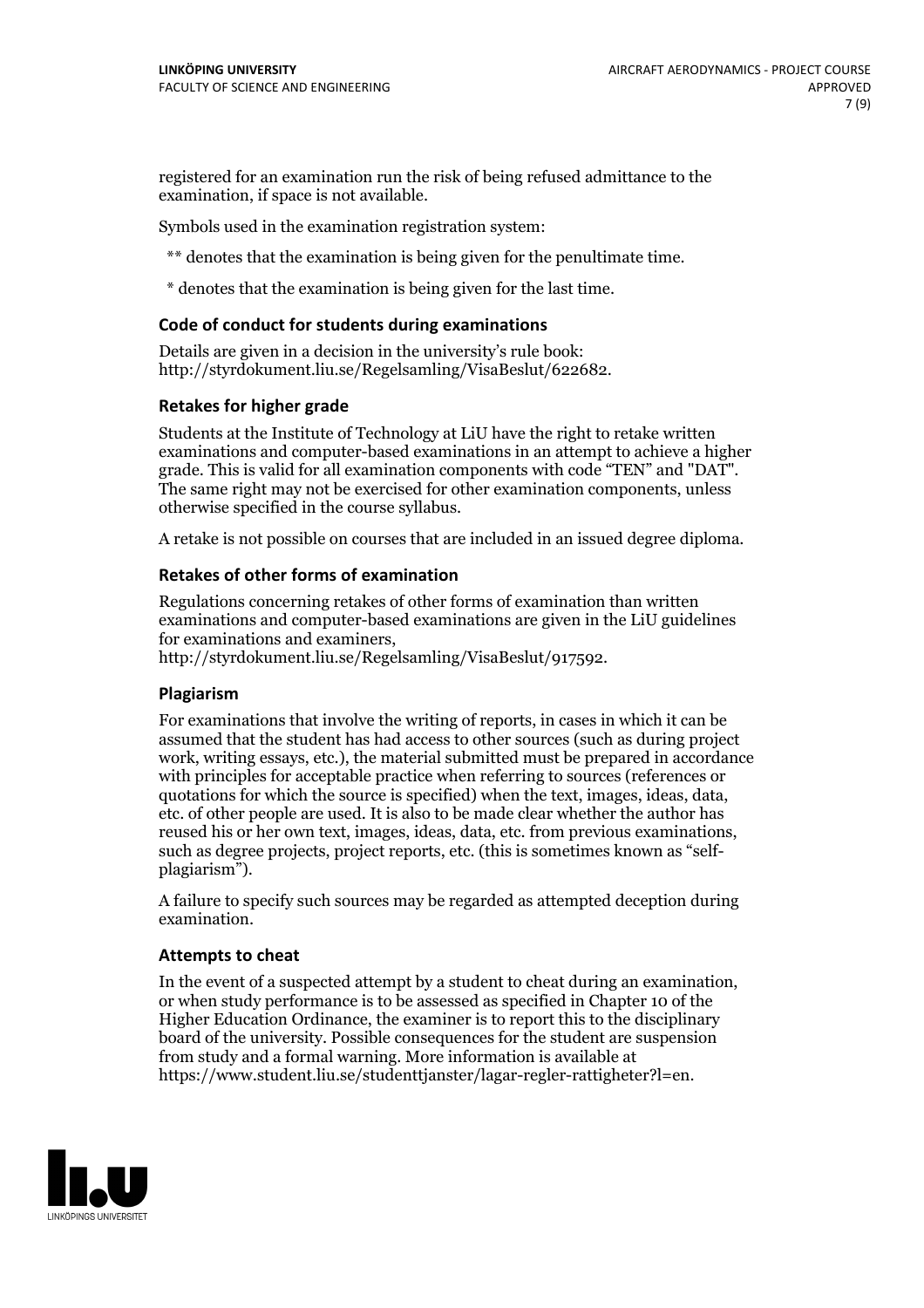registered for an examination run the risk of being refused admittance to the examination, if space is not available.

Symbols used in the examination registration system:

\*\* denotes that the examination is being given for the penultimate time.

\* denotes that the examination is being given for the last time.

#### **Code of conduct for students during examinations**

Details are given in a decision in the university's rule book: http://styrdokument.liu.se/Regelsamling/VisaBeslut/622682.

#### **Retakes for higher grade**

Students at the Institute of Technology at LiU have the right to retake written examinations and computer-based examinations in an attempt to achieve a higher grade. This is valid for all examination components with code "TEN" and "DAT". The same right may not be exercised for other examination components, unless otherwise specified in the course syllabus.

A retake is not possible on courses that are included in an issued degree diploma.

#### **Retakes of other forms of examination**

Regulations concerning retakes of other forms of examination than written examinations and computer-based examinations are given in the LiU guidelines

http://styrdokument.liu.se/Regelsamling/VisaBeslut/917592.

#### **Plagiarism**

For examinations that involve the writing of reports, in cases in which it can be assumed that the student has had access to other sources (such as during project work, writing essays, etc.), the material submitted must be prepared in accordance with principles for acceptable practice when referring to sources (references or quotations for which the source is specified) when the text, images, ideas, data,  $\vec{e}$  etc. of other people are used. It is also to be made clear whether the author has reused his or her own text, images, ideas, data, etc. from previous examinations, such as degree projects, project reports, etc. (this is sometimes known as "self- plagiarism").

A failure to specify such sources may be regarded as attempted deception during examination.

#### **Attempts to cheat**

In the event of <sup>a</sup> suspected attempt by <sup>a</sup> student to cheat during an examination, or when study performance is to be assessed as specified in Chapter <sup>10</sup> of the Higher Education Ordinance, the examiner is to report this to the disciplinary board of the university. Possible consequences for the student are suspension from study and a formal warning. More information is available at https://www.student.liu.se/studenttjanster/lagar-regler-rattigheter?l=en.

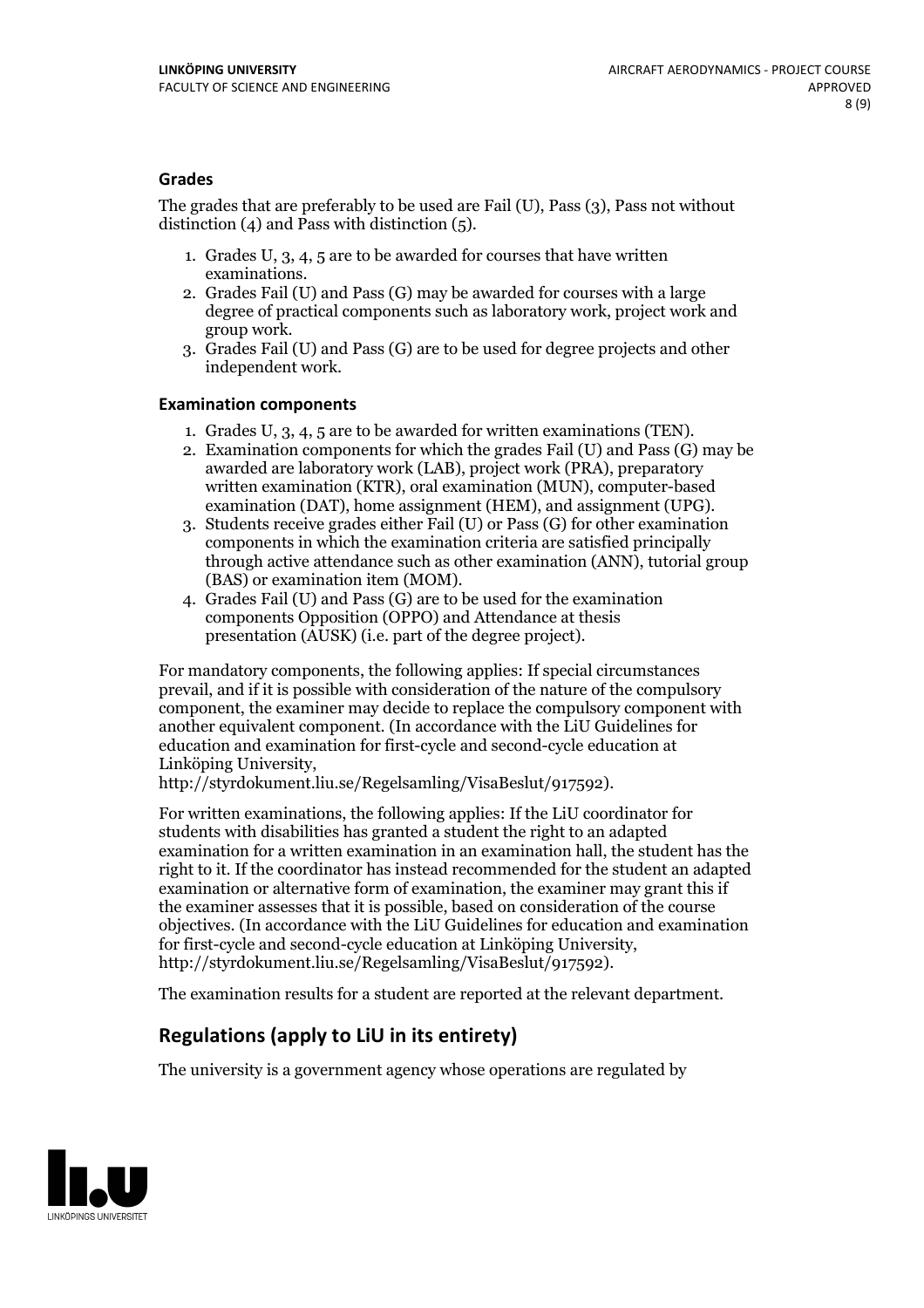#### **Grades**

The grades that are preferably to be used are Fail (U), Pass (3), Pass not without distinction  $(4)$  and Pass with distinction  $(5)$ .

- 1. Grades U, 3, 4, 5 are to be awarded for courses that have written
- examinations. 2. Grades Fail (U) and Pass (G) may be awarded for courses with <sup>a</sup> large degree of practical components such as laboratory work, project work and group work. 3. Grades Fail (U) and Pass (G) are to be used for degree projects and other
- independent work.

#### **Examination components**

- 
- 1. Grades U, 3, 4, <sup>5</sup> are to be awarded for written examinations (TEN). 2. Examination components for which the grades Fail (U) and Pass (G) may be awarded are laboratory work (LAB), project work (PRA), preparatory written examination (KTR), oral examination (MUN), computer-based
- examination (DAT), home assignment (HEM), and assignment (UPG). 3. Students receive grades either Fail (U) or Pass (G) for other examination components in which the examination criteria are satisfied principally through active attendance such as other examination (ANN), tutorial group
- (BAS) or examination item (MOM). 4. Grades Fail (U) and Pass (G) are to be used for the examination components Opposition (OPPO) and Attendance at thesis presentation (AUSK) (i.e. part of the degree project).

For mandatory components, the following applies: If special circumstances prevail, and if it is possible with consideration of the nature of the compulsory component, the examiner may decide to replace the compulsory component with another equivalent component. (In accordance with the LiU Guidelines for education and examination for first-cycle and second-cycle education at Linköping University, http://styrdokument.liu.se/Regelsamling/VisaBeslut/917592).

For written examinations, the following applies: If the LiU coordinator for students with disabilities has granted a student the right to an adapted examination for a written examination in an examination hall, the student has the right to it. If the coordinator has instead recommended for the student an adapted examination or alternative form of examination, the examiner may grant this if the examiner assesses that it is possible, based on consideration of the course objectives. (In accordance with the LiU Guidelines for education and examination for first-cycle and second-cycle education at Linköping University, http://styrdokument.liu.se/Regelsamling/VisaBeslut/917592).

The examination results for a student are reported at the relevant department.

### **Regulations (applyto LiU in its entirety)**

The university is a government agency whose operations are regulated by